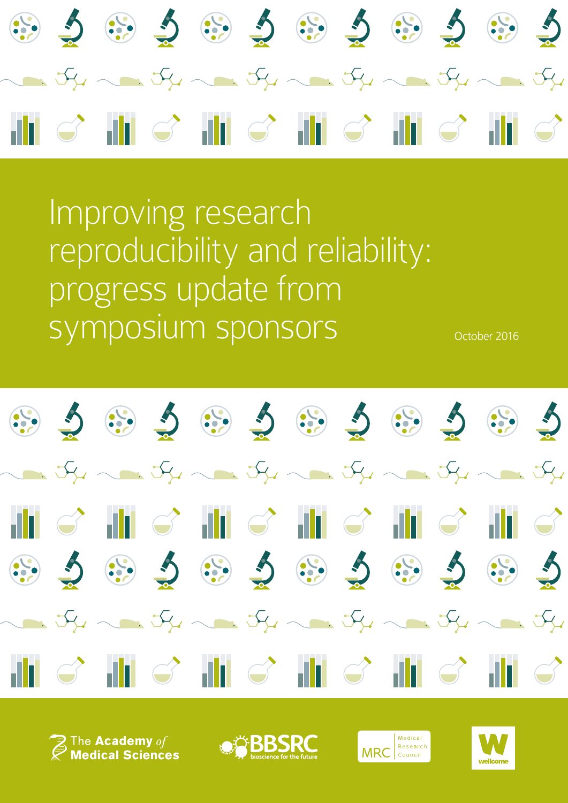

Improving research reproducibility and reliability: progress update from symposium sponsors october 2016



 $\widehat{\mathcal{F}}$  The Academy  $\mathit{of}$ <br> $\widehat{\mathcal{F}}$  Medical Sciences





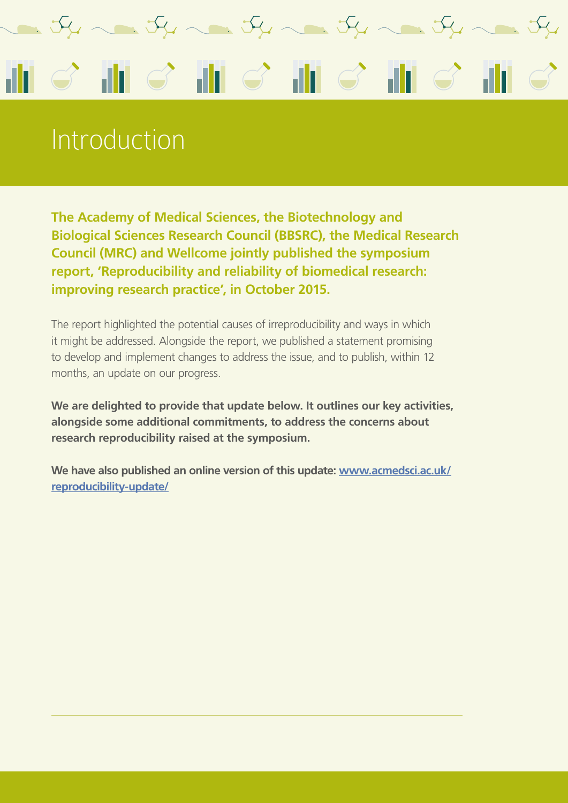

#### Introduction

**The Academy of Medical Sciences, the Biotechnology and Biological Sciences Research Council (BBSRC), the Medical Research Council (MRC) and Wellcome jointly published the symposium report, 'Reproducibility and reliability of biomedical research: improving research practice', in October 2015.** 

The report highlighted the potential causes of irreproducibility and ways in which it might be addressed. Alongside the report, we published a statement promising to develop and implement changes to address the issue, and to publish, within 12 months, an update on our progress.

**We are delighted to provide that update below. It outlines our key activities, alongside some additional commitments, to address the concerns about research reproducibility raised at the symposium.**

**We have also published an online version of this update: [www.acmedsci.ac.uk/](http://www.acmedsci.ac.uk/reproducibility-update/) [reproducibility-update/](http://www.acmedsci.ac.uk/reproducibility-update/)**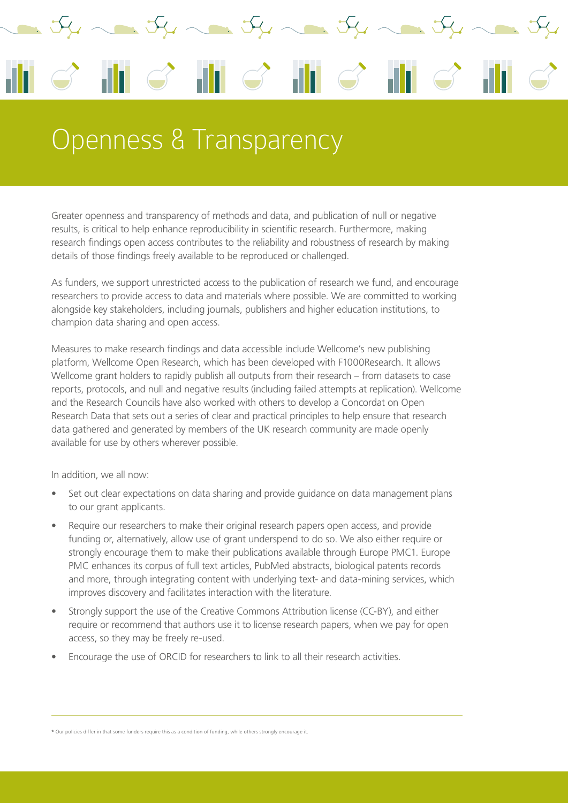

#### Openness & Transparency

Greater openness and transparency of methods and data, and publication of null or negative results, is critical to help enhance reproducibility in scientific research. Furthermore, making research findings open access contributes to the reliability and robustness of research by making details of those findings freely available to be reproduced or challenged.

As funders, we support unrestricted access to the publication of research we fund, and encourage researchers to provide access to data and materials where possible. We are committed to working alongside key stakeholders, including journals, publishers and higher education institutions, to champion data sharing and open access.

Measures to make research findings and data accessible include Wellcome's new publishing platform, Wellcome Open Research, which has been developed with F1000Research. It allows Wellcome grant holders to rapidly publish all outputs from their research – from datasets to case reports, protocols, and null and negative results (including failed attempts at replication). Wellcome and the Research Councils have also worked with others to develop a Concordat on Open Research Data that sets out a series of clear and practical principles to help ensure that research data gathered and generated by members of the UK research community are made openly available for use by others wherever possible.

In addition, we all now:

- Set out clear expectations on data sharing and provide guidance on data management plans to our grant applicants.
- Require our researchers to make their original research papers open access, and provide funding or, alternatively, allow use of grant underspend to do so. We also either require or strongly encourage them to make their publications available through Europe PMC1. Europe PMC enhances its corpus of full text articles, PubMed abstracts, biological patents records and more, through integrating content with underlying text- and data-mining services, which improves discovery and facilitates interaction with the literature.
- Strongly support the use of the Creative Commons Attribution license (CC-BY), and either require or recommend that authors use it to license research papers, when we pay for open access, so they may be freely re-used.
- Encourage the use of ORCID for researchers to link to all their research activities.

**\*** Our policies differ in that some funders require this as a condition of funding, while others strongly encourage it.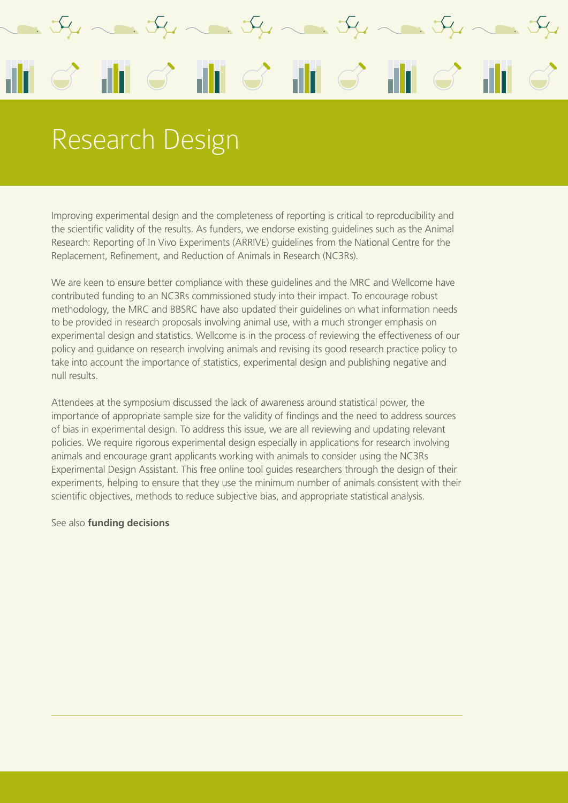

## Research Design

Improving experimental design and the completeness of reporting is critical to reproducibility and the scientific validity of the results. As funders, we endorse existing guidelines such as the Animal Research: Reporting of In Vivo Experiments (ARRIVE) guidelines from the National Centre for the Replacement, Refinement, and Reduction of Animals in Research (NC3Rs).

We are keen to ensure better compliance with these guidelines and the MRC and Wellcome have contributed funding to an NC3Rs commissioned study into their impact. To encourage robust methodology, the MRC and BBSRC have also updated their guidelines on what information needs to be provided in research proposals involving animal use, with a much stronger emphasis on experimental design and statistics. Wellcome is in the process of reviewing the effectiveness of our policy and guidance on research involving animals and revising its good research practice policy to take into account the importance of statistics, experimental design and publishing negative and null results.

Attendees at the symposium discussed the lack of awareness around statistical power, the importance of appropriate sample size for the validity of findings and the need to address sources of bias in experimental design. To address this issue, we are all reviewing and updating relevant policies. We require rigorous experimental design especially in applications for research involving animals and encourage grant applicants working with animals to consider using the NC3Rs Experimental Design Assistant. This free online tool guides researchers through the design of their experiments, helping to ensure that they use the minimum number of animals consistent with their scientific objectives, methods to reduce subjective bias, and appropriate statistical analysis.

See also **funding decisions**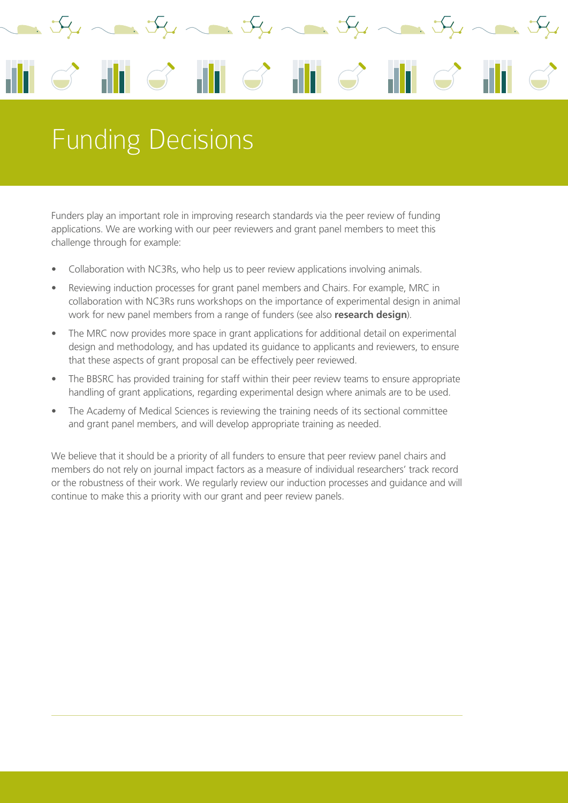

# Funding Decisions

Funders play an important role in improving research standards via the peer review of funding applications. We are working with our peer reviewers and grant panel members to meet this challenge through for example:

- Collaboration with NC3Rs, who help us to peer review applications involving animals.
- Reviewing induction processes for grant panel members and Chairs. For example, MRC in collaboration with NC3Rs runs workshops on the importance of experimental design in animal work for new panel members from a range of funders (see also **research design**).
- The MRC now provides more space in grant applications for additional detail on experimental design and methodology, and has updated its guidance to applicants and reviewers, to ensure that these aspects of grant proposal can be effectively peer reviewed.
- The BBSRC has provided training for staff within their peer review teams to ensure appropriate handling of grant applications, regarding experimental design where animals are to be used.
- The Academy of Medical Sciences is reviewing the training needs of its sectional committee and grant panel members, and will develop appropriate training as needed.

We believe that it should be a priority of all funders to ensure that peer review panel chairs and members do not rely on journal impact factors as a measure of individual researchers' track record or the robustness of their work. We regularly review our induction processes and guidance and will continue to make this a priority with our grant and peer review panels.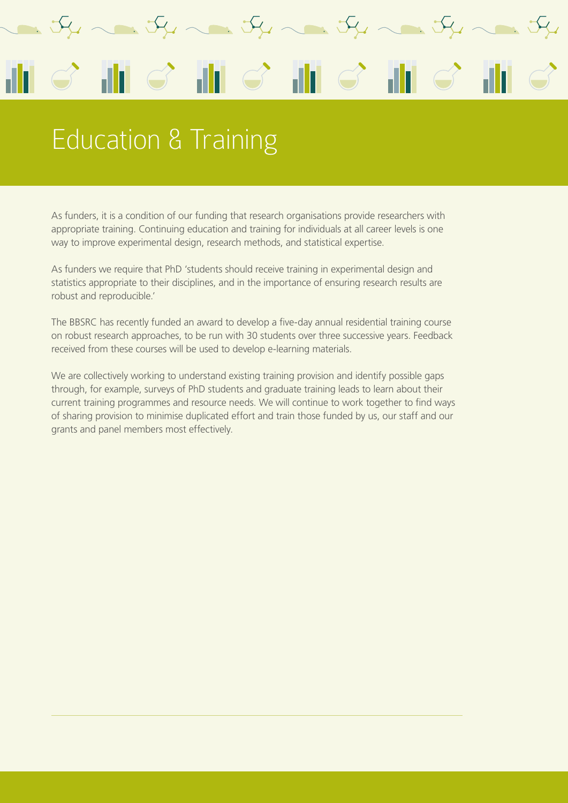# A. J. J.  $\mathbf{H} \mathcal{C}$ ah l

### Education & Training

As funders, it is a condition of our funding that research organisations provide researchers with appropriate training. Continuing education and training for individuals at all career levels is one way to improve experimental design, research methods, and statistical expertise.

As funders we require that PhD 'students should receive training in experimental design and statistics appropriate to their disciplines, and in the importance of ensuring research results are robust and reproducible.'

The BBSRC has recently funded an award to develop a five-day annual residential training course on robust research approaches, to be run with 30 students over three successive years. Feedback received from these courses will be used to develop e-learning materials.

We are collectively working to understand existing training provision and identify possible gaps through, for example, surveys of PhD students and graduate training leads to learn about their current training programmes and resource needs. We will continue to work together to find ways of sharing provision to minimise duplicated effort and train those funded by us, our staff and our grants and panel members most effectively.